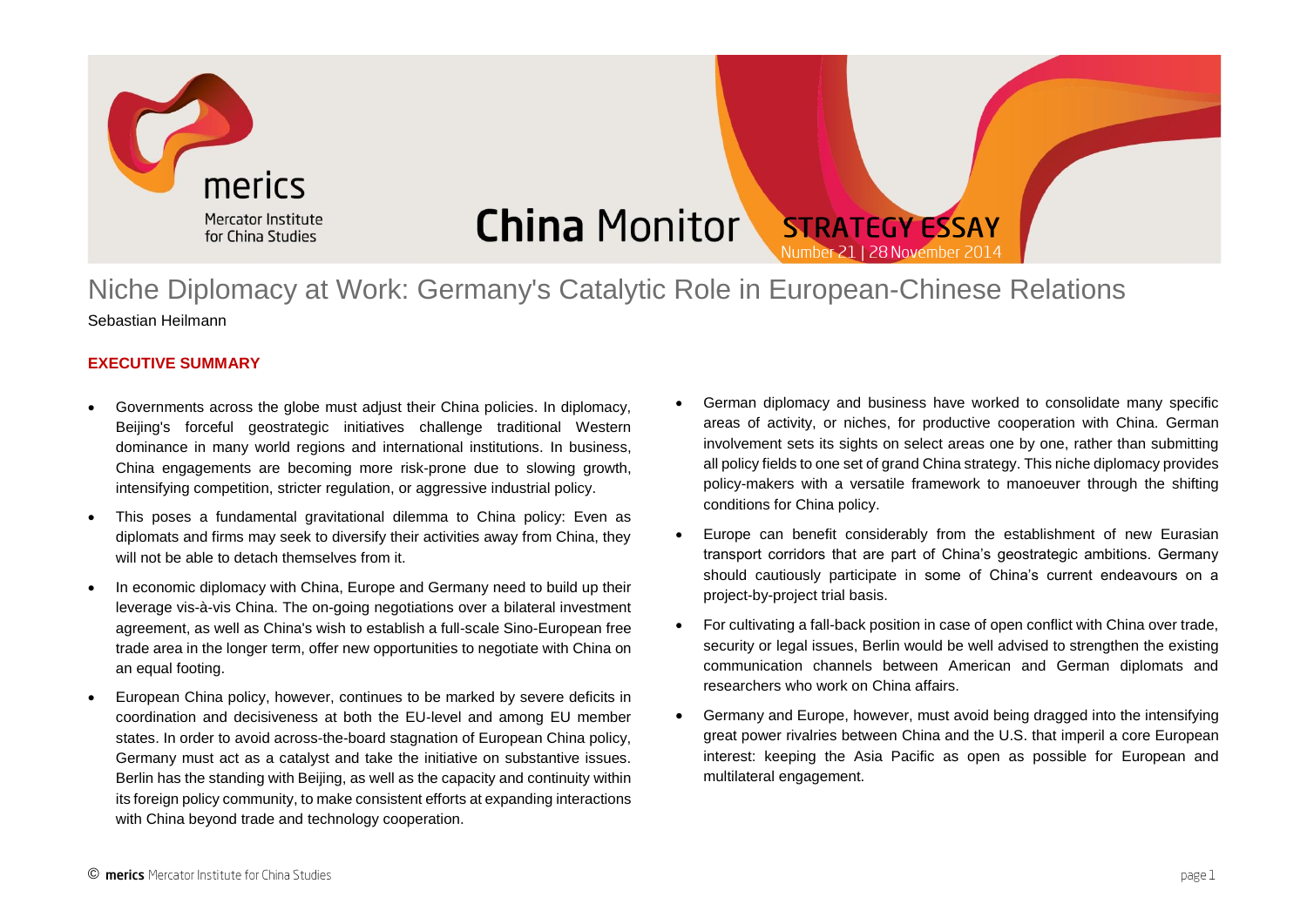

### **China Monitor STRATEGY ESSAY** Number 21 | 28 November 2014

## Niche Diplomacy at Work: Germany's Catalytic Role in European-Chinese Relations Sebastian Heilmann

### **EXECUTIVE SUMMARY**

- Governments across the globe must adjust their China policies. In diplomacy, Beijing's forceful geostrategic initiatives challenge traditional Western dominance in many world regions and international institutions. In business, China engagements are becoming more risk-prone due to slowing growth, intensifying competition, stricter regulation, or aggressive industrial policy.
- This poses a fundamental gravitational dilemma to China policy: Even as diplomats and firms may seek to diversify their activities away from China, they will not be able to detach themselves from it.
- In economic diplomacy with China, Europe and Germany need to build up their leverage vis-à-vis China. The on-going negotiations over a bilateral investment agreement, as well as China's wish to establish a full-scale Sino-European free trade area in the longer term, offer new opportunities to negotiate with China on an equal footing.
- European China policy, however, continues to be marked by severe deficits in coordination and decisiveness at both the EU-level and among EU member states. In order to avoid across-the-board stagnation of European China policy, Germany must act as a catalyst and take the initiative on substantive issues. Berlin has the standing with Beijing, as well as the capacity and continuity within its foreign policy community, to make consistent efforts at expanding interactions with China beyond trade and technology cooperation.
- German diplomacy and business have worked to consolidate many specific areas of activity, or niches, for productive cooperation with China. German involvement sets its sights on select areas one by one, rather than submitting all policy fields to one set of grand China strategy. This niche diplomacy provides policy-makers with a versatile framework to manoeuver through the shifting conditions for China policy.
- Europe can benefit considerably from the establishment of new Eurasian transport corridors that are part of China's geostrategic ambitions. Germany should cautiously participate in some of China's current endeavours on a project-by-project trial basis.
- For cultivating a fall-back position in case of open conflict with China over trade, security or legal issues, Berlin would be well advised to strengthen the existing communication channels between American and German diplomats and researchers who work on China affairs.
- Germany and Europe, however, must avoid being dragged into the intensifying great power rivalries between China and the U.S. that imperil a core European interest: keeping the Asia Pacific as open as possible for European and multilateral engagement.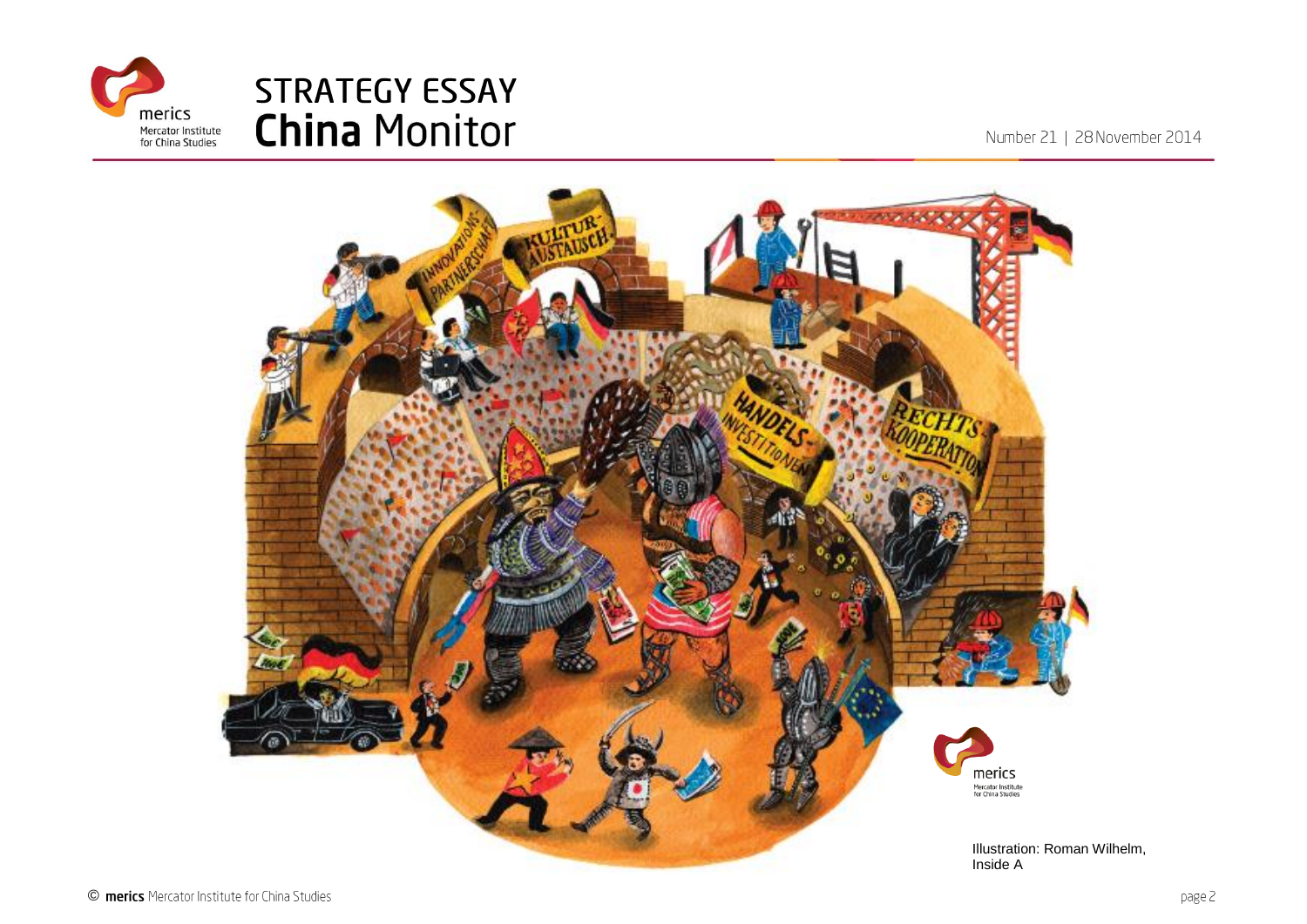

Number 21 | 28 November 2014

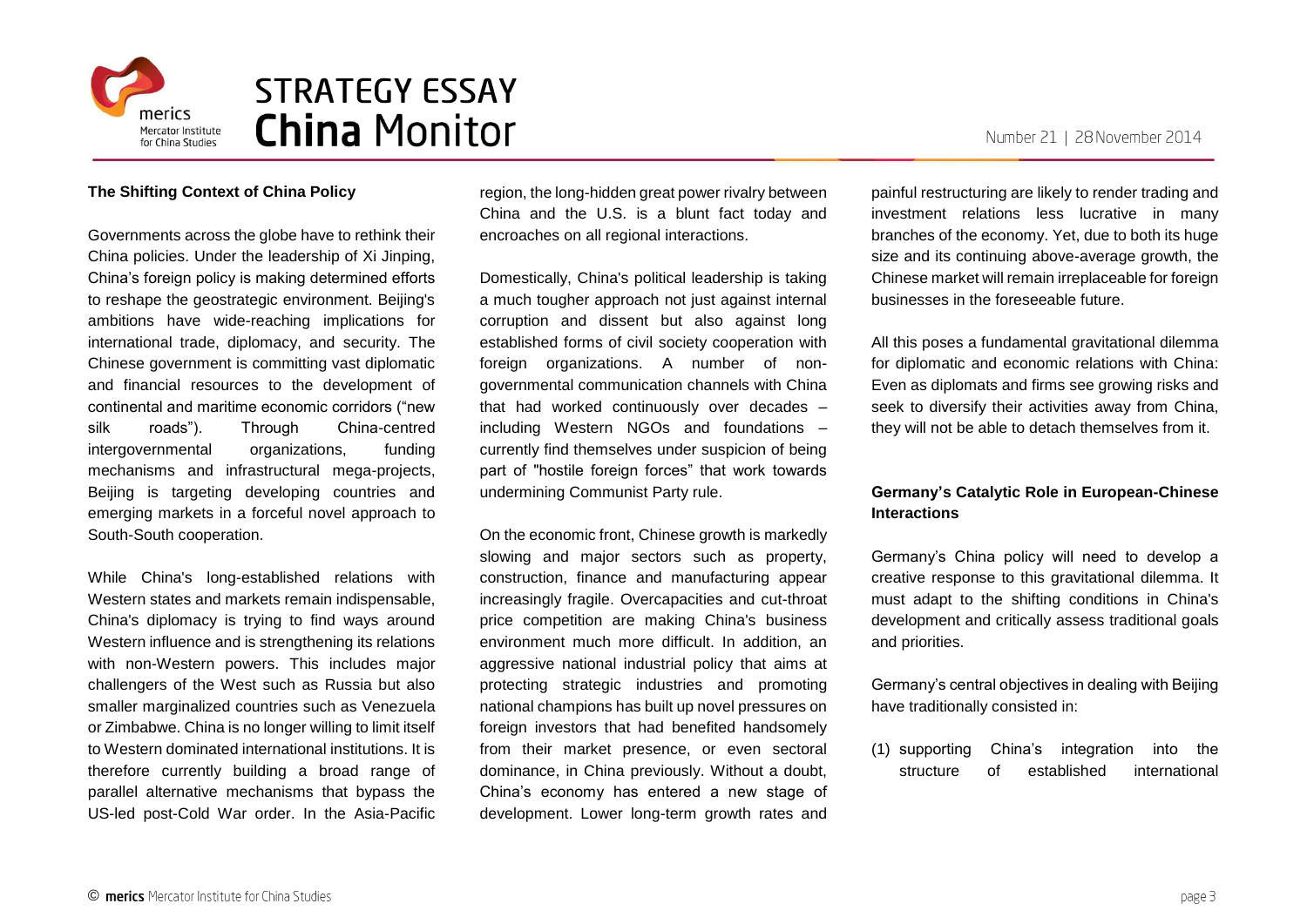

### **The Shifting Context of China Policy**

Governments across the globe have to rethink their China policies. Under the leadership of Xi Jinping, China's foreign policy is making determined efforts to reshape the geostrategic environment. Beijing's ambitions have wide-reaching implications for international trade, diplomacy, and security. The Chinese government is committing vast diplomatic and financial resources to the development of continental and maritime economic corridors ("new silk roads"). Through China-centred intergovernmental organizations, funding mechanisms and infrastructural mega-projects, Beijing is targeting developing countries and emerging markets in a forceful novel approach to South-South cooperation.

While China's long-established relations with Western states and markets remain indispensable, China's diplomacy is trying to find ways around Western influence and is strengthening its relations with non-Western powers. This includes major challengers of the West such as Russia but also smaller marginalized countries such as Venezuela or Zimbabwe. China is no longer willing to limit itself to Western dominated international institutions. It is therefore currently building a broad range of parallel alternative mechanisms that bypass the US-led post-Cold War order. In the Asia-Pacific region, the long-hidden great power rivalry between China and the U.S. is a blunt fact today and encroaches on all regional interactions.

Domestically, China's political leadership is taking a much tougher approach not just against internal corruption and dissent but also against long established forms of civil society cooperation with foreign organizations. A number of nongovernmental communication channels with China that had worked continuously over decades – including Western NGOs and foundations – currently find themselves under suspicion of being part of "hostile foreign forces" that work towards undermining Communist Party rule.

On the economic front, Chinese growth is markedly slowing and major sectors such as property, construction, finance and manufacturing appear increasingly fragile. Overcapacities and cut-throat price competition are making China's business environment much more difficult. In addition, an aggressive national industrial policy that aims at protecting strategic industries and promoting national champions has built up novel pressures on foreign investors that had benefited handsomely from their market presence, or even sectoral dominance, in China previously. Without a doubt, China's economy has entered a new stage of development. Lower long-term growth rates and

painful restructuring are likely to render trading and investment relations less lucrative in many branches of the economy. Yet, due to both its huge size and its continuing above-average growth, the Chinese market will remain irreplaceable for foreign businesses in the foreseeable future.

All this poses a fundamental gravitational dilemma for diplomatic and economic relations with China: Even as diplomats and firms see growing risks and seek to diversify their activities away from China, they will not be able to detach themselves from it.

### **Germany's Catalytic Role in European-Chinese Interactions**

Germany's China policy will need to develop a creative response to this gravitational dilemma. It must adapt to the shifting conditions in China's development and critically assess traditional goals and priorities.

Germany's central objectives in dealing with Beijing have traditionally consisted in:

(1) supporting China's integration into the structure of established international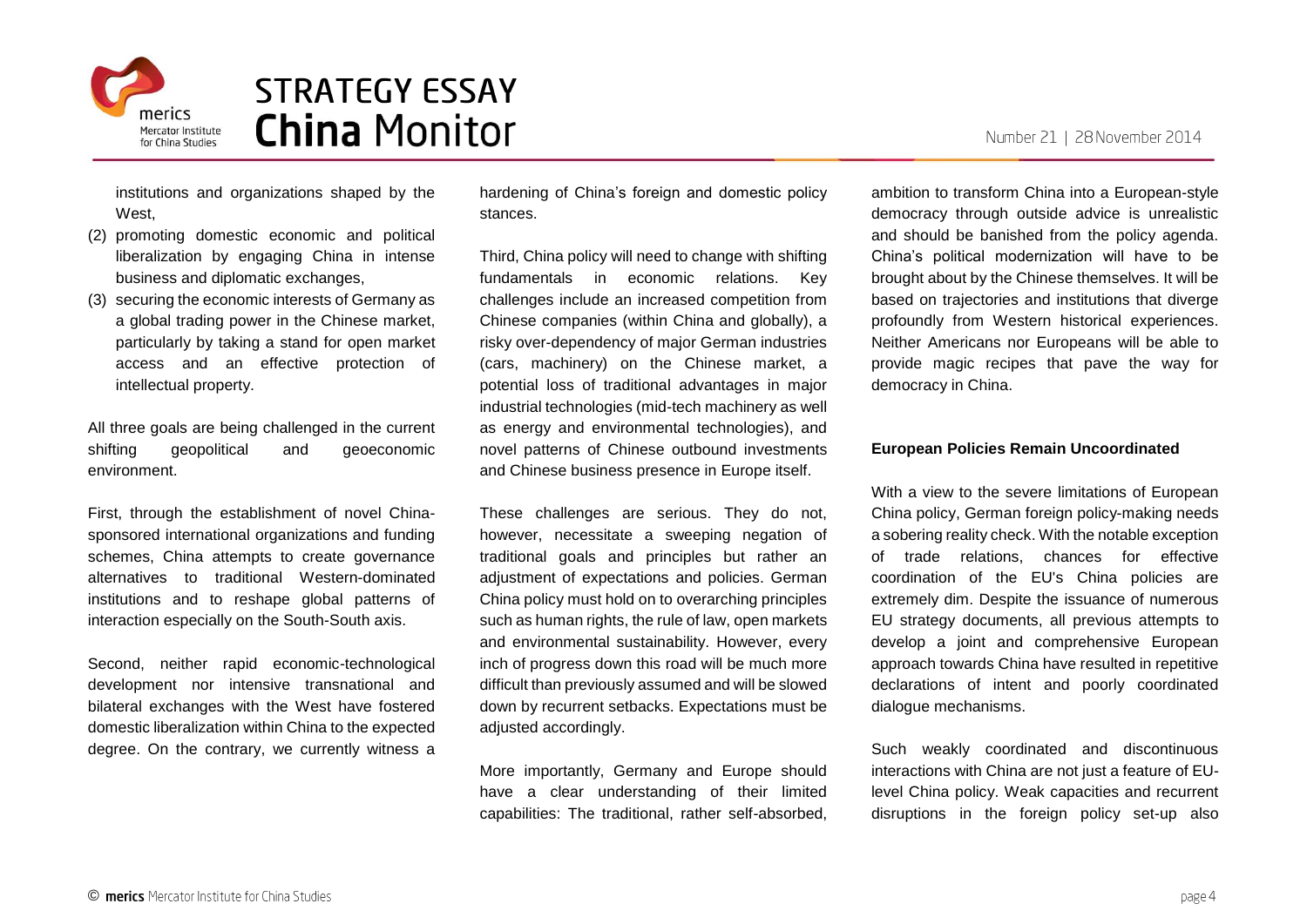

institutions and organizations shaped by the West.

- (2) promoting domestic economic and political liberalization by engaging China in intense business and diplomatic exchanges,
- (3) securing the economic interests of Germany as a global trading power in the Chinese market, particularly by taking a stand for open market access and an effective protection of intellectual property.

All three goals are being challenged in the current shifting geopolitical and geoeconomic environment.

First, through the establishment of novel Chinasponsored international organizations and funding schemes, China attempts to create governance alternatives to traditional Western-dominated institutions and to reshape global patterns of interaction especially on the South-South axis.

Second, neither rapid economic-technological development nor intensive transnational and bilateral exchanges with the West have fostered domestic liberalization within China to the expected degree. On the contrary, we currently witness a hardening of China's foreign and domestic policy stances.

Third, China policy will need to change with shifting fundamentals in economic relations. Key challenges include an increased competition from Chinese companies (within China and globally), a risky over-dependency of major German industries (cars, machinery) on the Chinese market, a potential loss of traditional advantages in major industrial technologies (mid-tech machinery as well as energy and environmental technologies), and novel patterns of Chinese outbound investments and Chinese business presence in Europe itself.

These challenges are serious. They do not, however, necessitate a sweeping negation of traditional goals and principles but rather an adjustment of expectations and policies. German China policy must hold on to overarching principles such as human rights, the rule of law, open markets and environmental sustainability. However, every inch of progress down this road will be much more difficult than previously assumed and will be slowed down by recurrent setbacks. Expectations must be adjusted accordingly.

More importantly, Germany and Europe should have a clear understanding of their limited capabilities: The traditional, rather self-absorbed,

ambition to transform China into a European-style democracy through outside advice is unrealistic and should be banished from the policy agenda. China's political modernization will have to be brought about by the Chinese themselves. It will be based on trajectories and institutions that diverge profoundly from Western historical experiences. Neither Americans nor Europeans will be able to provide magic recipes that pave the way for democracy in China.

#### **European Policies Remain Uncoordinated**

With a view to the severe limitations of European China policy, German foreign policy-making needs a sobering reality check. With the notable exception of trade relations, chances for effective coordination of the EU's China policies are extremely dim. Despite the issuance of numerous EU strategy documents, all previous attempts to develop a joint and comprehensive European approach towards China have resulted in repetitive declarations of intent and poorly coordinated dialogue mechanisms.

Such weakly coordinated and discontinuous interactions with China are not just a feature of EUlevel China policy. Weak capacities and recurrent disruptions in the foreign policy set-up also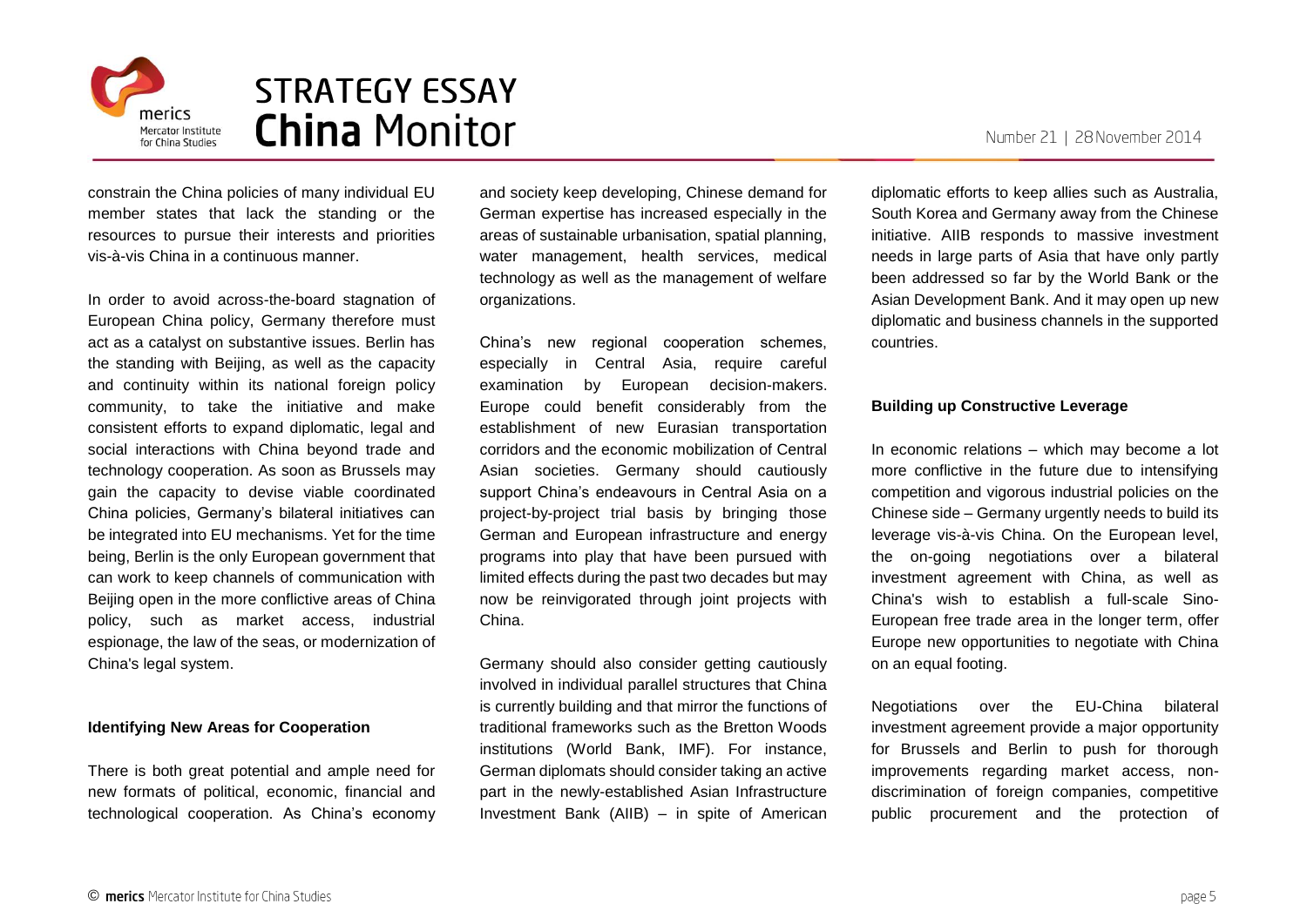



constrain the China policies of many individual EU member states that lack the standing or the resources to pursue their interests and priorities vis-à-vis China in a continuous manner.

In order to avoid across-the-board stagnation of European China policy, Germany therefore must act as a catalyst on substantive issues. Berlin has the standing with Beijing, as well as the capacity and continuity within its national foreign policy community, to take the initiative and make consistent efforts to expand diplomatic, legal and social interactions with China beyond trade and technology cooperation. As soon as Brussels may gain the capacity to devise viable coordinated China policies, Germany's bilateral initiatives can be integrated into EU mechanisms. Yet for the time being, Berlin is the only European government that can work to keep channels of communication with Beijing open in the more conflictive areas of China policy, such as market access, industrial espionage, the law of the seas, or modernization of China's legal system.

#### **Identifying New Areas for Cooperation**

There is both great potential and ample need for new formats of political, economic, financial and technological cooperation. As China's economy and society keep developing, Chinese demand for German expertise has increased especially in the areas of sustainable urbanisation, spatial planning, water management, health services, medical technology as well as the management of welfare organizations.

China's new regional cooperation schemes, especially in Central Asia, require careful examination by European decision-makers. Europe could benefit considerably from the establishment of new Eurasian transportation corridors and the economic mobilization of Central Asian societies. Germany should cautiously support China's endeavours in Central Asia on a project-by-project trial basis by bringing those German and European infrastructure and energy programs into play that have been pursued with limited effects during the past two decades but may now be reinvigorated through joint projects with China.

Germany should also consider getting cautiously involved in individual parallel structures that China is currently building and that mirror the functions of traditional frameworks such as the Bretton Woods institutions (World Bank, IMF). For instance, German diplomats should consider taking an active part in the newly-established Asian Infrastructure Investment Bank (AIIB) – in spite of American

diplomatic efforts to keep allies such as Australia, South Korea and Germany away from the Chinese initiative. AIIB responds to massive investment needs in large parts of Asia that have only partly been addressed so far by the World Bank or the Asian Development Bank. And it may open up new diplomatic and business channels in the supported countries.

#### **Building up Constructive Leverage**

In economic relations – which may become a lot more conflictive in the future due to intensifying competition and vigorous industrial policies on the Chinese side – Germany urgently needs to build its leverage vis-à-vis China. On the European level, the on-going negotiations over a bilateral investment agreement with China, as well as China's wish to establish a full-scale Sino-European free trade area in the longer term, offer Europe new opportunities to negotiate with China on an equal footing.

Negotiations over the EU-China bilateral investment agreement provide a major opportunity for Brussels and Berlin to push for thorough improvements regarding market access, nondiscrimination of foreign companies, competitive public procurement and the protection of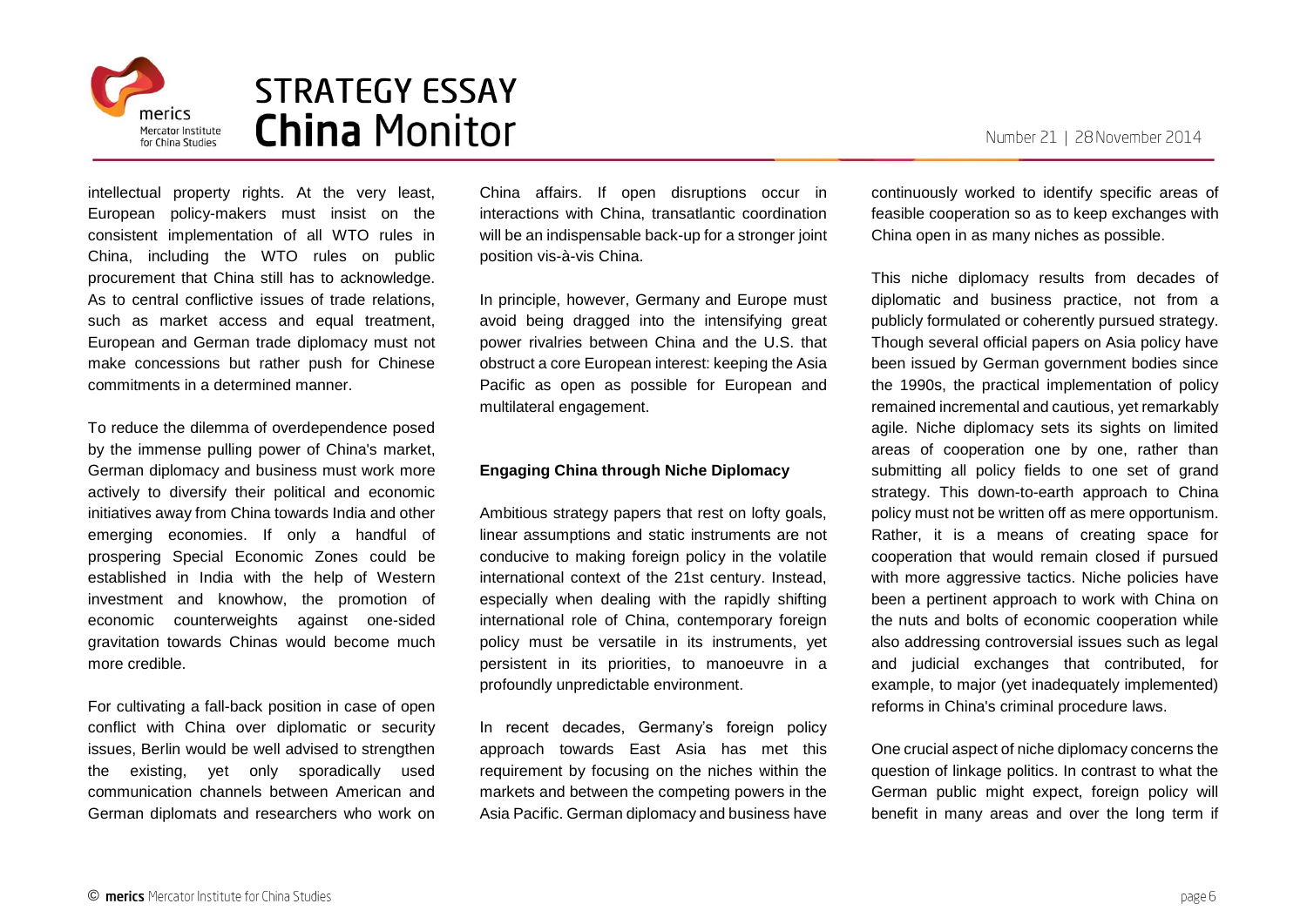

intellectual property rights. At the very least, European policy-makers must insist on the consistent implementation of all WTO rules in China, including the WTO rules on public procurement that China still has to acknowledge. As to central conflictive issues of trade relations, such as market access and equal treatment, European and German trade diplomacy must not make concessions but rather push for Chinese commitments in a determined manner.

To reduce the dilemma of overdependence posed by the immense pulling power of China's market, German diplomacy and business must work more actively to diversify their political and economic initiatives away from China towards India and other emerging economies. If only a handful of prospering Special Economic Zones could be established in India with the help of Western investment and knowhow, the promotion of economic counterweights against one-sided gravitation towards Chinas would become much more credible.

For cultivating a fall-back position in case of open conflict with China over diplomatic or security issues, Berlin would be well advised to strengthen the existing, yet only sporadically used communication channels between American and German diplomats and researchers who work on

China affairs. If open disruptions occur in interactions with China, transatlantic coordination will be an indispensable back-up for a stronger joint position vis-à-vis China.

In principle, however, Germany and Europe must avoid being dragged into the intensifying great power rivalries between China and the U.S. that obstruct a core European interest: keeping the Asia Pacific as open as possible for European and multilateral engagement.

### **Engaging China through Niche Diplomacy**

Ambitious strategy papers that rest on lofty goals, linear assumptions and static instruments are not conducive to making foreign policy in the volatile international context of the 21st century. Instead, especially when dealing with the rapidly shifting international role of China, contemporary foreign policy must be versatile in its instruments, yet persistent in its priorities, to manoeuvre in a profoundly unpredictable environment.

In recent decades, Germany's foreign policy approach towards East Asia has met this requirement by focusing on the niches within the markets and between the competing powers in the Asia Pacific. German diplomacy and business have

continuously worked to identify specific areas of feasible cooperation so as to keep exchanges with China open in as many niches as possible.

This niche diplomacy results from decades of diplomatic and business practice, not from a publicly formulated or coherently pursued strategy. Though several official papers on Asia policy have been issued by German government bodies since the 1990s, the practical implementation of policy remained incremental and cautious, yet remarkably agile. Niche diplomacy sets its sights on limited areas of cooperation one by one, rather than submitting all policy fields to one set of grand strategy. This down-to-earth approach to China policy must not be written off as mere opportunism. Rather, it is a means of creating space for cooperation that would remain closed if pursued with more aggressive tactics. Niche policies have been a pertinent approach to work with China on the nuts and bolts of economic cooperation while also addressing controversial issues such as legal and judicial exchanges that contributed, for example, to major (yet inadequately implemented) reforms in China's criminal procedure laws.

One crucial aspect of niche diplomacy concerns the question of linkage politics. In contrast to what the German public might expect, foreign policy will benefit in many areas and over the long term if